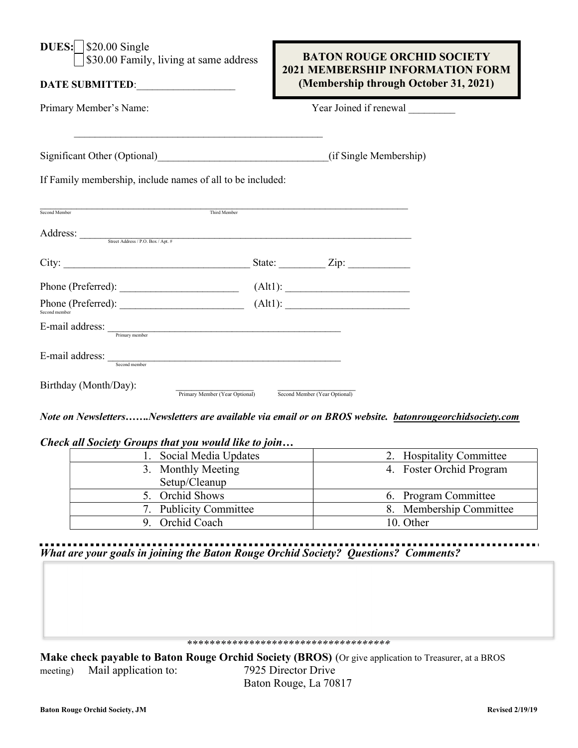| <b>DUES:</b>   \$20.00 Single<br>\$30.00 Family, living at same address<br>DATE SUBMITTED:                                                                                                                                                                                                                                                                                                                                                                                                                                                                                                              | <b>BATON ROUGE ORCHID SOCIETY</b><br><b>2021 MEMBERSHIP INFORMATION FORM</b><br>(Membership through October 31, 2021) |  |
|---------------------------------------------------------------------------------------------------------------------------------------------------------------------------------------------------------------------------------------------------------------------------------------------------------------------------------------------------------------------------------------------------------------------------------------------------------------------------------------------------------------------------------------------------------------------------------------------------------|-----------------------------------------------------------------------------------------------------------------------|--|
| Primary Member's Name:                                                                                                                                                                                                                                                                                                                                                                                                                                                                                                                                                                                  | Year Joined if renewal                                                                                                |  |
|                                                                                                                                                                                                                                                                                                                                                                                                                                                                                                                                                                                                         | (if Single Membership)                                                                                                |  |
| If Family membership, include names of all to be included:<br>$\label{thm:1}$ Third Member                                                                                                                                                                                                                                                                                                                                                                                                                                                                                                              |                                                                                                                       |  |
| Second Member<br>Address: Street Address / P.O. Box / Apt. #                                                                                                                                                                                                                                                                                                                                                                                                                                                                                                                                            |                                                                                                                       |  |
|                                                                                                                                                                                                                                                                                                                                                                                                                                                                                                                                                                                                         |                                                                                                                       |  |
|                                                                                                                                                                                                                                                                                                                                                                                                                                                                                                                                                                                                         |                                                                                                                       |  |
| Second member                                                                                                                                                                                                                                                                                                                                                                                                                                                                                                                                                                                           |                                                                                                                       |  |
| $E\text{-mail address:}\underset{\text{Primary member}}{\underbrace{\qquad \qquad }}% \begin{array} [c]{14pt}{0.45\textwidth} \includegraphics[width=0.9\textwidth]{14pt} \includegraphics[width=0.9\textwidth]{14pt} \includegraphics[width=0.9\textwidth]{14pt} \includegraphics[width=0.9\textwidth]{14pt} \includegraphics[width=0.9\textwidth]{14pt} \includegraphics[width=0.9\textwidth]{14pt} \includegraphics[width=0.9\textwidth]{14pt} \includegraphics[width=0.9\textwidth]{14pt} \includegraphics[width=0.9\textwidth]{14pt} \includegraphics[width=0.9\textwidth]{14pt} \includegraphics$ |                                                                                                                       |  |
| Second member                                                                                                                                                                                                                                                                                                                                                                                                                                                                                                                                                                                           |                                                                                                                       |  |
| Birthday (Month/Day):<br>Second Member (Year Optional)<br>Primary Member (Year Optional)                                                                                                                                                                                                                                                                                                                                                                                                                                                                                                                |                                                                                                                       |  |

Note on Newsletters…….Newsletters are available via email or on BROS website. batonrougeorchidsociety.com

Check all Society Groups that you would like to join…

| Social Media Updates   | 2. Hospitality Committee |
|------------------------|--------------------------|
| 3. Monthly Meeting     | 4. Foster Orchid Program |
| Setup/Cleanup          |                          |
| 5. Orchid Shows        | 6. Program Committee     |
| 7. Publicity Committee | 8. Membership Committee  |
| 9. Orchid Coach        | 10. Other                |

## . . . . . . . . . . . . What are your goals in joining the Baton Rouge Orchid Society? Questions? Comments?

## \*\*\*\*\*\*\*\*\*\*\*\*\*\*\*\*\*\*\*\*\*\*\*\*\*\*\*\*\*\*\*\*\*\*\*\*

Make check payable to Baton Rouge Orchid Society (BROS) (Or give application to Treasurer, at a BROS meeting) Mail application to: 7925 Director Drive Baton Rouge, La 70817